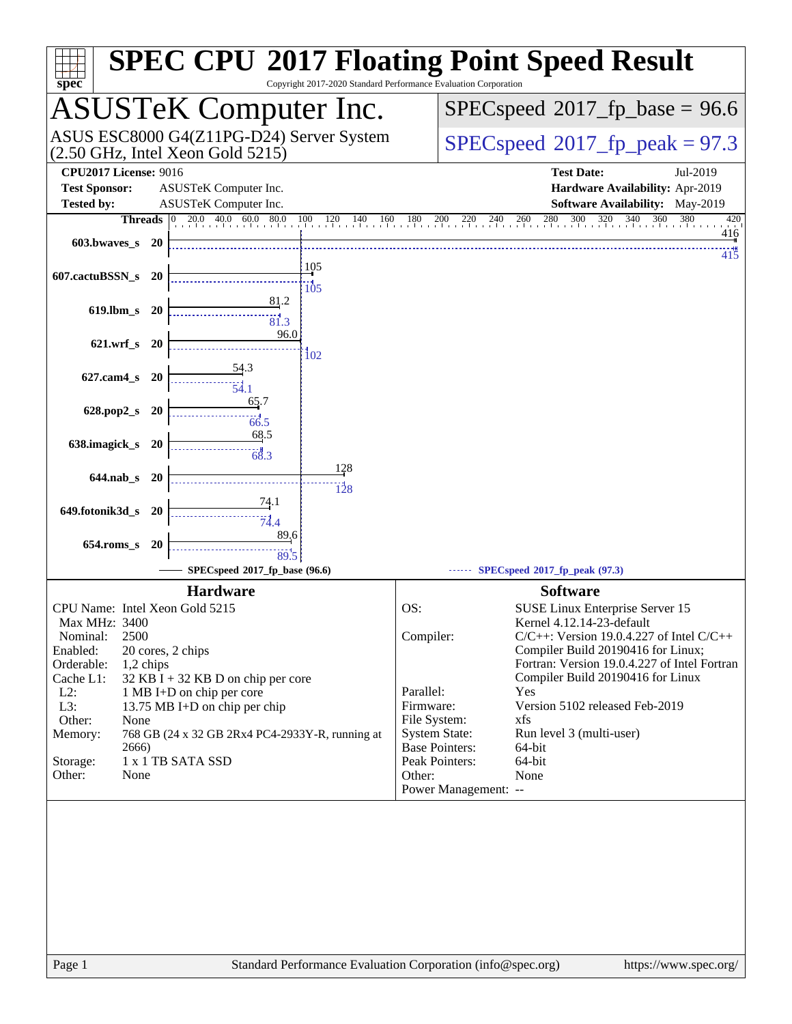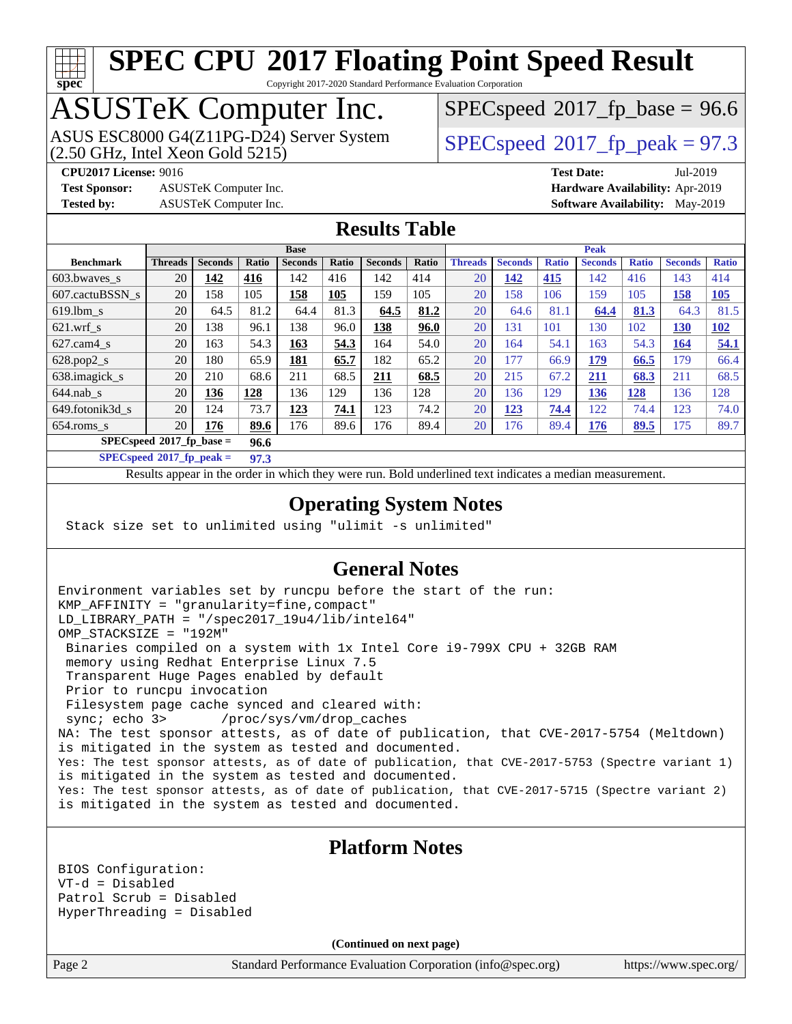# **[spec](http://www.spec.org/)**

# **[SPEC CPU](http://www.spec.org/auto/cpu2017/Docs/result-fields.html#SPECCPU2017FloatingPointSpeedResult)[2017 Floating Point Speed Result](http://www.spec.org/auto/cpu2017/Docs/result-fields.html#SPECCPU2017FloatingPointSpeedResult)**

Copyright 2017-2020 Standard Performance Evaluation Corporation

## ASUSTeK Computer Inc.

(2.50 GHz, Intel Xeon Gold 5215) ASUS ESC8000 G4(Z11PG-D24) Server System  $SPECspeed@2017$  $SPECspeed@2017$  fp\_peak = 97.3

 $SPECspeed*2017_fp\_base = 96.6$  $SPECspeed*2017_fp\_base = 96.6$ 

**[Test Sponsor:](http://www.spec.org/auto/cpu2017/Docs/result-fields.html#TestSponsor)** ASUSTeK Computer Inc. **[Hardware Availability:](http://www.spec.org/auto/cpu2017/Docs/result-fields.html#HardwareAvailability)** Apr-2019

**[CPU2017 License:](http://www.spec.org/auto/cpu2017/Docs/result-fields.html#CPU2017License)** 9016 **[Test Date:](http://www.spec.org/auto/cpu2017/Docs/result-fields.html#TestDate)** Jul-2019 **[Tested by:](http://www.spec.org/auto/cpu2017/Docs/result-fields.html#Testedby)** ASUSTeK Computer Inc. **[Software Availability:](http://www.spec.org/auto/cpu2017/Docs/result-fields.html#SoftwareAvailability)** May-2019

#### **[Results Table](http://www.spec.org/auto/cpu2017/Docs/result-fields.html#ResultsTable)**

|                                    | <b>Base</b>    |                |              |                |       |                |       | <b>Peak</b>    |                |              |                |              |                |              |
|------------------------------------|----------------|----------------|--------------|----------------|-------|----------------|-------|----------------|----------------|--------------|----------------|--------------|----------------|--------------|
| <b>Benchmark</b>                   | <b>Threads</b> | <b>Seconds</b> | <b>Ratio</b> | <b>Seconds</b> | Ratio | <b>Seconds</b> | Ratio | <b>Threads</b> | <b>Seconds</b> | <b>Ratio</b> | <b>Seconds</b> | <b>Ratio</b> | <b>Seconds</b> | <b>Ratio</b> |
| 603.bwayes_s                       | 20             | 142            | 416          | 142            | 416   | 142            | 414   | 20             | 142            | 415          | 142            | 416          | 143            | 414          |
| 607.cactuBSSN s                    | 20             | 158            | 105          | 158            | 105   | 159            | 105   | 20             | 158            | 106          | 159            | 105          | <u>158</u>     | <u>105</u>   |
| $619.1$ bm s                       | 20             | 64.5           | 81.2         | 64.4           | 81.3  | 64.5           | 81.2  | 20             | 64.6           | 81.1         | 64.4           | 81.3         | 64.3           | 81.5         |
| $621.wrf$ s                        | 20             | 138            | 96.1         | 138            | 96.0  | 138            | 96.0  | 20             | 131            | 101          | 130            | 102          | <u>130</u>     | <b>102</b>   |
| $627$ .cam4 s                      | 20             | 163            | 54.3         | 163            | 54.3  | 164            | 54.0  | 20             | 164            | 54.1         | 163            | 54.3         | 164            | 54.1         |
| $628.pop2_s$                       | 20             | 180            | 65.9         | 181            | 65.7  | 182            | 65.2  | 20             | 177            | 66.9         | 179            | 66.5         | 179            | 66.4         |
| 638.imagick_s                      | 20             | 210            | 68.6         | 211            | 68.5  | 211            | 68.5  | 20             | 215            | 67.2         | 211            | 68.3         | 211            | 68.5         |
| $644$ .nab s                       | 20             | 136            | 128          | 136            | 129   | 136            | 128   | 20             | 136            | 129          | 136            | 128          | 136            | 128          |
| 649.fotonik3d s                    | 20             | 124            | 73.7         | 123            | 74.1  | 123            | 74.2  | 20             | <u>123</u>     | 74.4         | 122            | 74.4         | 123            | 74.0         |
| $654$ .roms s                      | 20             | 176            | 89.6         | 176            | 89.6  | 176            | 89.4  | 20             | 176            | 89.4         | <b>176</b>     | 89.5         | 175            | 89.7         |
| $SPECspeed*2017$ fp base =<br>96.6 |                |                |              |                |       |                |       |                |                |              |                |              |                |              |

**[SPECspeed](http://www.spec.org/auto/cpu2017/Docs/result-fields.html#SPECspeed2017fppeak)[2017\\_fp\\_peak =](http://www.spec.org/auto/cpu2017/Docs/result-fields.html#SPECspeed2017fppeak) 97.3**

Results appear in the [order in which they were run.](http://www.spec.org/auto/cpu2017/Docs/result-fields.html#RunOrder) Bold underlined text [indicates a median measurement](http://www.spec.org/auto/cpu2017/Docs/result-fields.html#Median).

#### **[Operating System Notes](http://www.spec.org/auto/cpu2017/Docs/result-fields.html#OperatingSystemNotes)**

Stack size set to unlimited using "ulimit -s unlimited"

#### **[General Notes](http://www.spec.org/auto/cpu2017/Docs/result-fields.html#GeneralNotes)**

Environment variables set by runcpu before the start of the run: KMP\_AFFINITY = "granularity=fine,compact" LD\_LIBRARY\_PATH = "/spec2017\_19u4/lib/intel64" OMP\_STACKSIZE = "192M" Binaries compiled on a system with 1x Intel Core i9-799X CPU + 32GB RAM memory using Redhat Enterprise Linux 7.5 Transparent Huge Pages enabled by default Prior to runcpu invocation Filesystem page cache synced and cleared with: sync; echo 3> /proc/sys/vm/drop\_caches NA: The test sponsor attests, as of date of publication, that CVE-2017-5754 (Meltdown) is mitigated in the system as tested and documented. Yes: The test sponsor attests, as of date of publication, that CVE-2017-5753 (Spectre variant 1) is mitigated in the system as tested and documented. Yes: The test sponsor attests, as of date of publication, that CVE-2017-5715 (Spectre variant 2) is mitigated in the system as tested and documented.

#### **[Platform Notes](http://www.spec.org/auto/cpu2017/Docs/result-fields.html#PlatformNotes)**

BIOS Configuration: VT-d = Disabled Patrol Scrub = Disabled HyperThreading = Disabled

**(Continued on next page)**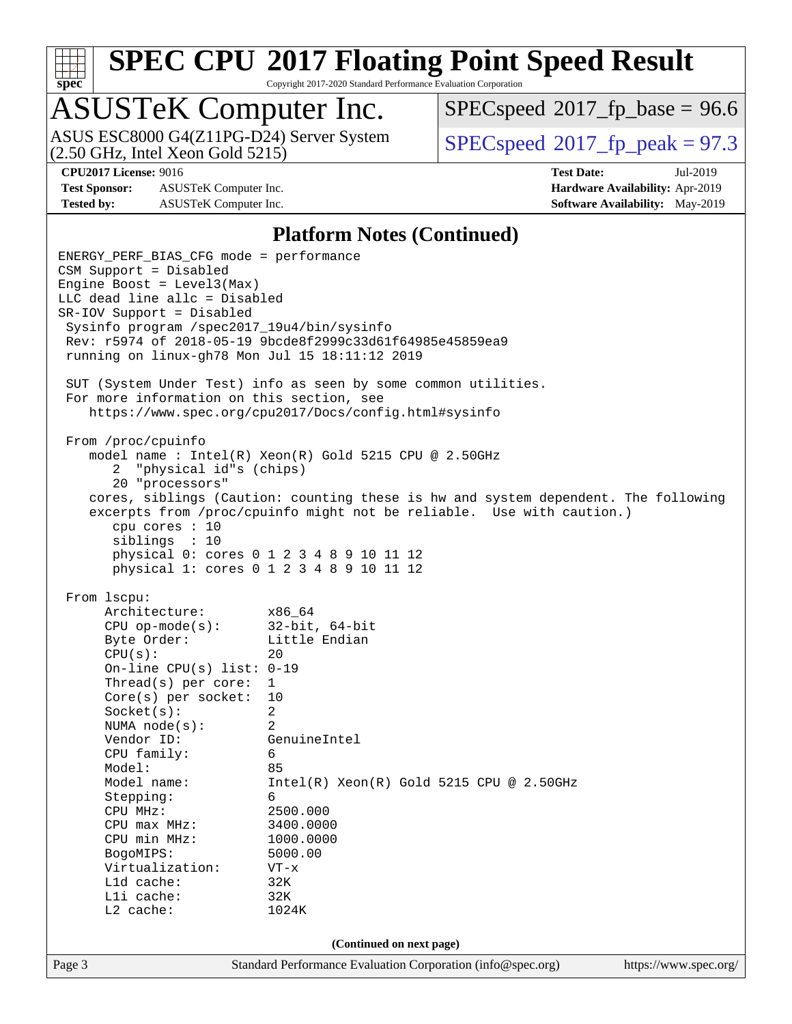

Copyright 2017-2020 Standard Performance Evaluation Corporation

## ASUSTeK Computer Inc.

(2.50 GHz, Intel Xeon Gold 5215) ASUS ESC8000 G4(Z11PG-D24) Server System  $SPECspeed@2017$  $SPECspeed@2017$  fp\_peak = 97.3

 $SPECspeed^{\circledcirc}2017$  $SPECspeed^{\circledcirc}2017$  fp base = 96.6

**[Test Sponsor:](http://www.spec.org/auto/cpu2017/Docs/result-fields.html#TestSponsor)** ASUSTeK Computer Inc. **[Hardware Availability:](http://www.spec.org/auto/cpu2017/Docs/result-fields.html#HardwareAvailability)** Apr-2019 **[Tested by:](http://www.spec.org/auto/cpu2017/Docs/result-fields.html#Testedby)** ASUSTeK Computer Inc. **[Software Availability:](http://www.spec.org/auto/cpu2017/Docs/result-fields.html#SoftwareAvailability)** May-2019

**[CPU2017 License:](http://www.spec.org/auto/cpu2017/Docs/result-fields.html#CPU2017License)** 9016 **[Test Date:](http://www.spec.org/auto/cpu2017/Docs/result-fields.html#TestDate)** Jul-2019

#### **[Platform Notes \(Continued\)](http://www.spec.org/auto/cpu2017/Docs/result-fields.html#PlatformNotes)**

Page 3 Standard Performance Evaluation Corporation [\(info@spec.org\)](mailto:info@spec.org) <https://www.spec.org/> ENERGY\_PERF\_BIAS\_CFG mode = performance CSM Support = Disabled Engine Boost = Level3(Max) LLC dead line allc = Disabled SR-IOV Support = Disabled Sysinfo program /spec2017\_19u4/bin/sysinfo Rev: r5974 of 2018-05-19 9bcde8f2999c33d61f64985e45859ea9 running on linux-gh78 Mon Jul 15 18:11:12 2019 SUT (System Under Test) info as seen by some common utilities. For more information on this section, see <https://www.spec.org/cpu2017/Docs/config.html#sysinfo> From /proc/cpuinfo model name : Intel(R) Xeon(R) Gold 5215 CPU @ 2.50GHz 2 "physical id"s (chips) 20 "processors" cores, siblings (Caution: counting these is hw and system dependent. The following excerpts from /proc/cpuinfo might not be reliable. Use with caution.) cpu cores : 10 siblings : 10 physical 0: cores 0 1 2 3 4 8 9 10 11 12 physical 1: cores 0 1 2 3 4 8 9 10 11 12 From lscpu: Architecture: x86\_64 CPU op-mode(s): 32-bit, 64-bit Byte Order: Little Endian  $CPU(s):$  20 On-line CPU(s) list: 0-19 Thread(s) per core: 1 Core(s) per socket: 10 Socket(s): 2 NUMA node(s): 2 Vendor ID: GenuineIntel CPU family: 6 Model: 85 Model name: Intel(R) Xeon(R) Gold 5215 CPU @ 2.50GHz Stepping: 6 CPU MHz: 2500.000 CPU max MHz: 3400.0000 CPU min MHz: 1000.0000 BogoMIPS: 5000.00 Virtualization: VT-x L1d cache: 32K L1i cache: 32K L2 cache: 1024K **(Continued on next page)**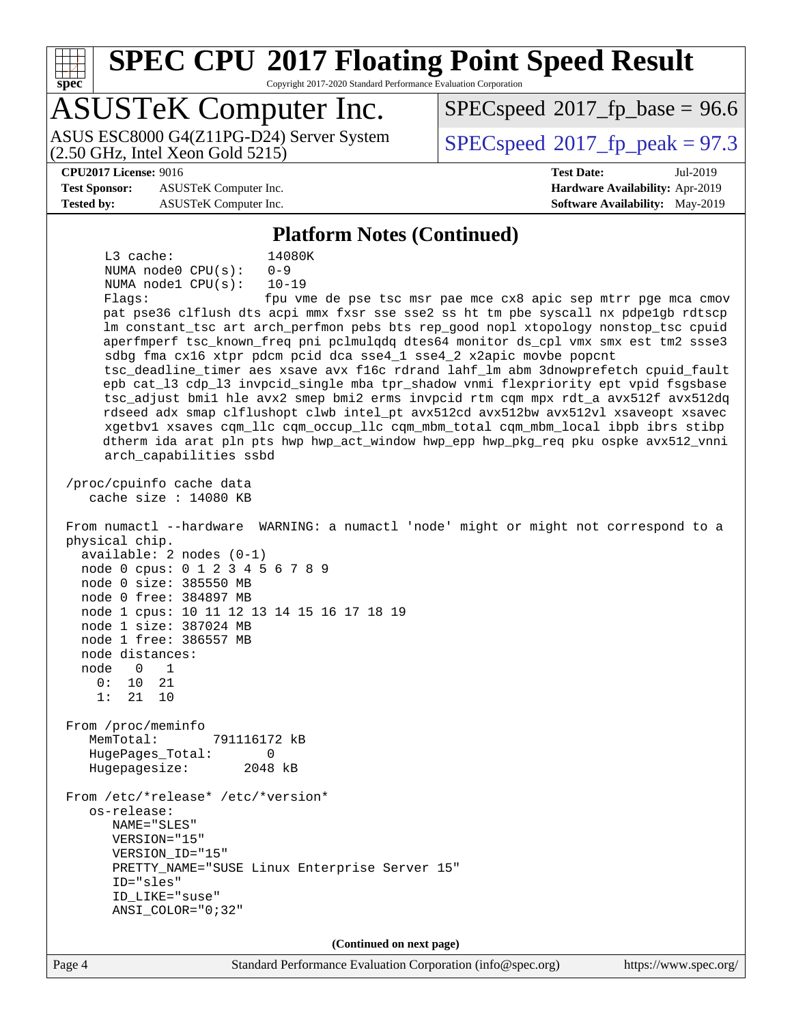**[spec](http://www.spec.org/)**

# **[SPEC CPU](http://www.spec.org/auto/cpu2017/Docs/result-fields.html#SPECCPU2017FloatingPointSpeedResult)[2017 Floating Point Speed Result](http://www.spec.org/auto/cpu2017/Docs/result-fields.html#SPECCPU2017FloatingPointSpeedResult)**

Copyright 2017-2020 Standard Performance Evaluation Corporation

## ASUSTeK Computer Inc.

(2.50 GHz, Intel Xeon Gold 5215) ASUS ESC8000 G4(Z11PG-D24) Server System  $SPECspeed@2017$  $SPECspeed@2017$  fp\_peak = 97.3

 $SPECspeed*2017_fp\_base = 96.6$  $SPECspeed*2017_fp\_base = 96.6$ 

**[Test Sponsor:](http://www.spec.org/auto/cpu2017/Docs/result-fields.html#TestSponsor)** ASUSTeK Computer Inc. **[Hardware Availability:](http://www.spec.org/auto/cpu2017/Docs/result-fields.html#HardwareAvailability)** Apr-2019 **[Tested by:](http://www.spec.org/auto/cpu2017/Docs/result-fields.html#Testedby)** ASUSTeK Computer Inc. **[Software Availability:](http://www.spec.org/auto/cpu2017/Docs/result-fields.html#SoftwareAvailability)** May-2019

# **[CPU2017 License:](http://www.spec.org/auto/cpu2017/Docs/result-fields.html#CPU2017License)** 9016 **[Test Date:](http://www.spec.org/auto/cpu2017/Docs/result-fields.html#TestDate)** Jul-2019

#### **[Platform Notes \(Continued\)](http://www.spec.org/auto/cpu2017/Docs/result-fields.html#PlatformNotes)**

 L3 cache: 14080K NUMA node0 CPU(s): 0-9 NUMA node1 CPU(s): 10-19

Flags: fpu vme de pse tsc msr pae mce cx8 apic sep mtrr pge mca cmov pat pse36 clflush dts acpi mmx fxsr sse sse2 ss ht tm pbe syscall nx pdpe1gb rdtscp lm constant\_tsc art arch\_perfmon pebs bts rep\_good nopl xtopology nonstop\_tsc cpuid aperfmperf tsc\_known\_freq pni pclmulqdq dtes64 monitor ds\_cpl vmx smx est tm2 ssse3 sdbg fma cx16 xtpr pdcm pcid dca sse4\_1 sse4\_2 x2apic movbe popcnt tsc\_deadline\_timer aes xsave avx f16c rdrand lahf\_lm abm 3dnowprefetch cpuid\_fault epb cat\_l3 cdp\_l3 invpcid\_single mba tpr\_shadow vnmi flexpriority ept vpid fsgsbase tsc\_adjust bmi1 hle avx2 smep bmi2 erms invpcid rtm cqm mpx rdt\_a avx512f avx512dq rdseed adx smap clflushopt clwb intel\_pt avx512cd avx512bw avx512vl xsaveopt xsavec xgetbv1 xsaves cqm\_llc cqm\_occup\_llc cqm\_mbm\_total cqm\_mbm\_local ibpb ibrs stibp dtherm ida arat pln pts hwp hwp\_act\_window hwp\_epp hwp\_pkg\_req pku ospke avx512\_vnni arch\_capabilities ssbd

 /proc/cpuinfo cache data cache size : 14080 KB

 From numactl --hardware WARNING: a numactl 'node' might or might not correspond to a physical chip.

 available: 2 nodes (0-1) node 0 cpus: 0 1 2 3 4 5 6 7 8 9 node 0 size: 385550 MB node 0 free: 384897 MB node 1 cpus: 10 11 12 13 14 15 16 17 18 19 node 1 size: 387024 MB node 1 free: 386557 MB

 node distances: node 0 1 0: 10 21

1: 21 10

 From /proc/meminfo MemTotal: 791116172 kB HugePages\_Total: 0

ANSI\_COLOR="0;32"

Hugepagesize: 2048 kB

 From /etc/\*release\* /etc/\*version\* os-release: NAME="SLES" VERSION="15" VERSION\_ID="15" PRETTY\_NAME="SUSE Linux Enterprise Server 15" ID="sles" ID\_LIKE="suse"

**(Continued on next page)**

Page 4 Standard Performance Evaluation Corporation [\(info@spec.org\)](mailto:info@spec.org) <https://www.spec.org/>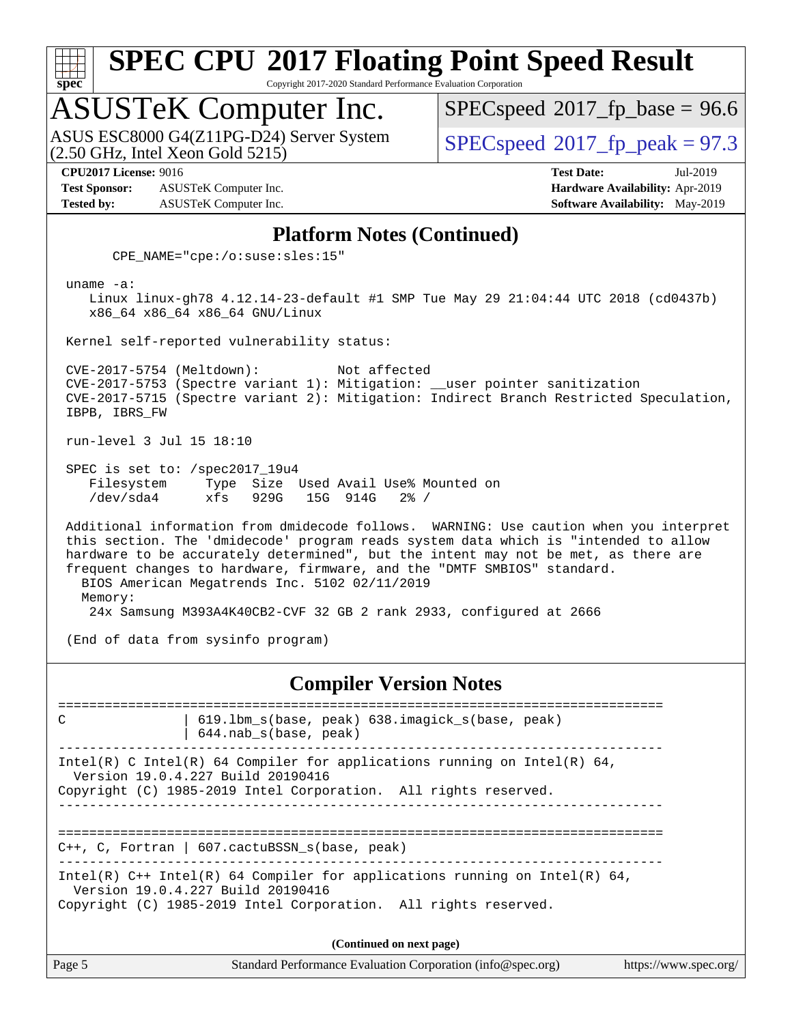

Copyright 2017-2020 Standard Performance Evaluation Corporation

## ASUSTeK Computer Inc.

 $(2.50$  GHz, Intel Xeon Gold  $5215)$ ASUS ESC8000 G4(Z11PG-D24) Server System [SPECspeed](http://www.spec.org/auto/cpu2017/Docs/result-fields.html#SPECspeed2017fppeak)®[2017\\_fp\\_peak = 9](http://www.spec.org/auto/cpu2017/Docs/result-fields.html#SPECspeed2017fppeak)7.3

 $SPECspeed*2017_fp\_base = 96.6$  $SPECspeed*2017_fp\_base = 96.6$ 

**[Test Sponsor:](http://www.spec.org/auto/cpu2017/Docs/result-fields.html#TestSponsor)** ASUSTeK Computer Inc. **[Hardware Availability:](http://www.spec.org/auto/cpu2017/Docs/result-fields.html#HardwareAvailability)** Apr-2019 **[Tested by:](http://www.spec.org/auto/cpu2017/Docs/result-fields.html#Testedby)** ASUSTeK Computer Inc. **[Software Availability:](http://www.spec.org/auto/cpu2017/Docs/result-fields.html#SoftwareAvailability)** May-2019

**[CPU2017 License:](http://www.spec.org/auto/cpu2017/Docs/result-fields.html#CPU2017License)** 9016 **[Test Date:](http://www.spec.org/auto/cpu2017/Docs/result-fields.html#TestDate)** Jul-2019

#### **[Platform Notes \(Continued\)](http://www.spec.org/auto/cpu2017/Docs/result-fields.html#PlatformNotes)**

CPE\_NAME="cpe:/o:suse:sles:15"

uname -a:

 Linux linux-gh78 4.12.14-23-default #1 SMP Tue May 29 21:04:44 UTC 2018 (cd0437b) x86\_64 x86\_64 x86\_64 GNU/Linux

Kernel self-reported vulnerability status:

 CVE-2017-5754 (Meltdown): Not affected CVE-2017-5753 (Spectre variant 1): Mitigation: \_\_user pointer sanitization CVE-2017-5715 (Spectre variant 2): Mitigation: Indirect Branch Restricted Speculation, IBPB, IBRS\_FW

run-level 3 Jul 15 18:10

 SPEC is set to: /spec2017\_19u4 Filesystem Type Size Used Avail Use% Mounted on /dev/sda4 xfs 929G 15G 914G 2% /

 Additional information from dmidecode follows. WARNING: Use caution when you interpret this section. The 'dmidecode' program reads system data which is "intended to allow hardware to be accurately determined", but the intent may not be met, as there are frequent changes to hardware, firmware, and the "DMTF SMBIOS" standard. BIOS American Megatrends Inc. 5102 02/11/2019 Memory:

24x Samsung M393A4K40CB2-CVF 32 GB 2 rank 2933, configured at 2666

(End of data from sysinfo program)

#### **[Compiler Version Notes](http://www.spec.org/auto/cpu2017/Docs/result-fields.html#CompilerVersionNotes)**

============================================================================== C | 619.lbm\_s(base, peak) 638.imagick\_s(base, peak) | 644.nab\_s(base, peak) ------------------------------------------------------------------------------ Intel(R) C Intel(R) 64 Compiler for applications running on Intel(R)  $64$ , Version 19.0.4.227 Build 20190416 Copyright (C) 1985-2019 Intel Corporation. All rights reserved. ------------------------------------------------------------------------------ ============================================================================== C++, C, Fortran | 607.cactuBSSN\_s(base, peak) ------------------------------------------------------------------------------ Intel(R) C++ Intel(R) 64 Compiler for applications running on Intel(R) 64, Version 19.0.4.227 Build 20190416 Copyright (C) 1985-2019 Intel Corporation. All rights reserved. **(Continued on next page)**

Page 5 Standard Performance Evaluation Corporation [\(info@spec.org\)](mailto:info@spec.org) <https://www.spec.org/>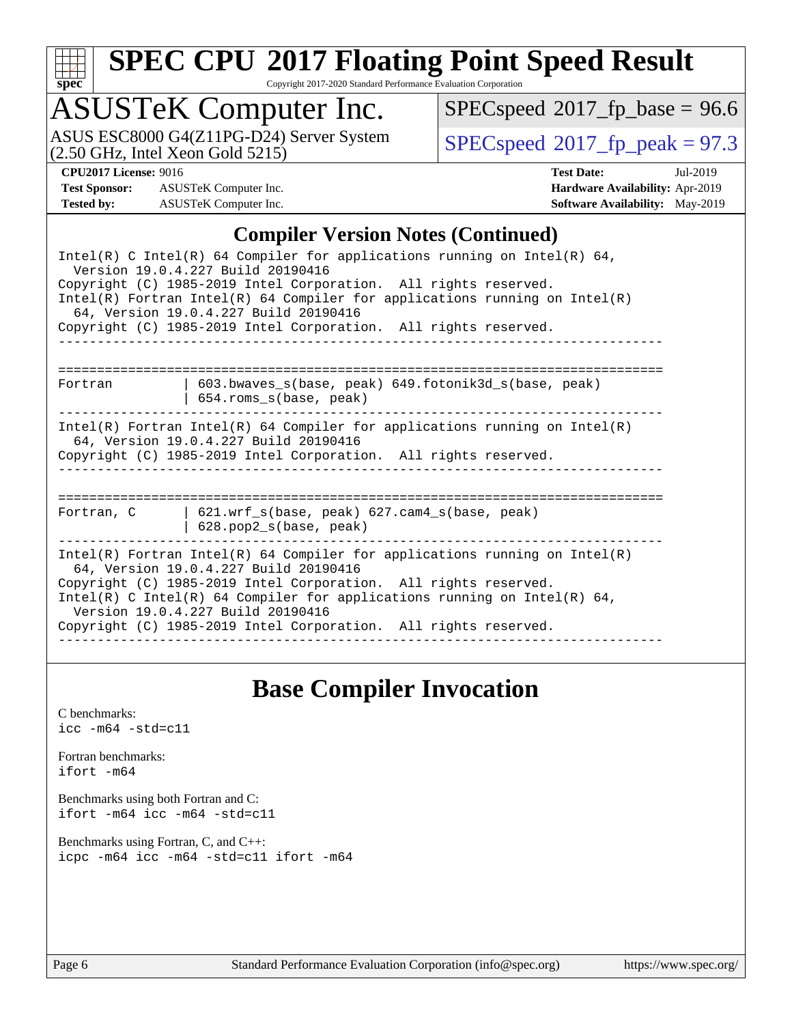

Copyright 2017-2020 Standard Performance Evaluation Corporation

## ASUSTeK Computer Inc.

(2.50 GHz, Intel Xeon Gold 5215) ASUS ESC8000 G4(Z11PG-D24) Server System  $SPECspeed@2017_fp\_peak = 97.3$  $SPECspeed@2017_fp\_peak = 97.3$ 

 $SPECspeed*2017_fp\_base = 96.6$  $SPECspeed*2017_fp\_base = 96.6$ 

**[Test Sponsor:](http://www.spec.org/auto/cpu2017/Docs/result-fields.html#TestSponsor)** ASUSTeK Computer Inc. **[Hardware Availability:](http://www.spec.org/auto/cpu2017/Docs/result-fields.html#HardwareAvailability)** Apr-2019 **[Tested by:](http://www.spec.org/auto/cpu2017/Docs/result-fields.html#Testedby)** ASUSTeK Computer Inc. **[Software Availability:](http://www.spec.org/auto/cpu2017/Docs/result-fields.html#SoftwareAvailability)** May-2019

**[CPU2017 License:](http://www.spec.org/auto/cpu2017/Docs/result-fields.html#CPU2017License)** 9016 **[Test Date:](http://www.spec.org/auto/cpu2017/Docs/result-fields.html#TestDate)** Jul-2019

#### **[Compiler Version Notes \(Continued\)](http://www.spec.org/auto/cpu2017/Docs/result-fields.html#CompilerVersionNotes)**

| Intel(R) C Intel(R) 64 Compiler for applications running on Intel(R) 64,<br>Version 19.0.4.227 Build 20190416         |                                                                                                                       |  |  |  |  |  |  |
|-----------------------------------------------------------------------------------------------------------------------|-----------------------------------------------------------------------------------------------------------------------|--|--|--|--|--|--|
| Copyright (C) 1985-2019 Intel Corporation. All rights reserved.                                                       |                                                                                                                       |  |  |  |  |  |  |
| $Intel(R)$ Fortran Intel(R) 64 Compiler for applications running on Intel(R)<br>64, Version 19.0.4.227 Build 20190416 |                                                                                                                       |  |  |  |  |  |  |
| Copyright (C) 1985-2019 Intel Corporation. All rights reserved.                                                       |                                                                                                                       |  |  |  |  |  |  |
|                                                                                                                       |                                                                                                                       |  |  |  |  |  |  |
| Fortran                                                                                                               | 603.bwaves s(base, peak) 649.fotonik3d s(base, peak)                                                                  |  |  |  |  |  |  |
|                                                                                                                       | $654.rows_s(base, peak)$                                                                                              |  |  |  |  |  |  |
| $Intel(R)$ Fortran Intel(R) 64 Compiler for applications running on Intel(R)<br>64, Version 19.0.4.227 Build 20190416 |                                                                                                                       |  |  |  |  |  |  |
| Copyright (C) 1985-2019 Intel Corporation. All rights reserved.                                                       |                                                                                                                       |  |  |  |  |  |  |
|                                                                                                                       |                                                                                                                       |  |  |  |  |  |  |
| Fortran, C                                                                                                            | $621.wrf_s(base, peak)$ $627.cam4_s(base, peak)$                                                                      |  |  |  |  |  |  |
|                                                                                                                       | $628. pop2_s(base, peak)$                                                                                             |  |  |  |  |  |  |
|                                                                                                                       | $Intel(R)$ Fortran Intel(R) 64 Compiler for applications running on Intel(R)<br>64, Version 19.0.4.227 Build 20190416 |  |  |  |  |  |  |
|                                                                                                                       | Copyright (C) 1985-2019 Intel Corporation. All rights reserved.                                                       |  |  |  |  |  |  |
|                                                                                                                       | Intel(R) C Intel(R) 64 Compiler for applications running on Intel(R) 64,<br>Version 19.0.4.227 Build 20190416         |  |  |  |  |  |  |
|                                                                                                                       | Copyright (C) 1985-2019 Intel Corporation. All rights reserved.                                                       |  |  |  |  |  |  |
|                                                                                                                       |                                                                                                                       |  |  |  |  |  |  |

#### **[Base Compiler Invocation](http://www.spec.org/auto/cpu2017/Docs/result-fields.html#BaseCompilerInvocation)**

[C benchmarks](http://www.spec.org/auto/cpu2017/Docs/result-fields.html#Cbenchmarks): [icc -m64 -std=c11](http://www.spec.org/cpu2017/results/res2019q3/cpu2017-20190722-16309.flags.html#user_CCbase_intel_icc_64bit_c11_33ee0cdaae7deeeab2a9725423ba97205ce30f63b9926c2519791662299b76a0318f32ddfffdc46587804de3178b4f9328c46fa7c2b0cd779d7a61945c91cd35)

[Fortran benchmarks](http://www.spec.org/auto/cpu2017/Docs/result-fields.html#Fortranbenchmarks): [ifort -m64](http://www.spec.org/cpu2017/results/res2019q3/cpu2017-20190722-16309.flags.html#user_FCbase_intel_ifort_64bit_24f2bb282fbaeffd6157abe4f878425411749daecae9a33200eee2bee2fe76f3b89351d69a8130dd5949958ce389cf37ff59a95e7a40d588e8d3a57e0c3fd751)

[Benchmarks using both Fortran and C](http://www.spec.org/auto/cpu2017/Docs/result-fields.html#BenchmarksusingbothFortranandC): [ifort -m64](http://www.spec.org/cpu2017/results/res2019q3/cpu2017-20190722-16309.flags.html#user_CC_FCbase_intel_ifort_64bit_24f2bb282fbaeffd6157abe4f878425411749daecae9a33200eee2bee2fe76f3b89351d69a8130dd5949958ce389cf37ff59a95e7a40d588e8d3a57e0c3fd751) [icc -m64 -std=c11](http://www.spec.org/cpu2017/results/res2019q3/cpu2017-20190722-16309.flags.html#user_CC_FCbase_intel_icc_64bit_c11_33ee0cdaae7deeeab2a9725423ba97205ce30f63b9926c2519791662299b76a0318f32ddfffdc46587804de3178b4f9328c46fa7c2b0cd779d7a61945c91cd35)

[Benchmarks using Fortran, C, and C++:](http://www.spec.org/auto/cpu2017/Docs/result-fields.html#BenchmarksusingFortranCandCXX) [icpc -m64](http://www.spec.org/cpu2017/results/res2019q3/cpu2017-20190722-16309.flags.html#user_CC_CXX_FCbase_intel_icpc_64bit_4ecb2543ae3f1412ef961e0650ca070fec7b7afdcd6ed48761b84423119d1bf6bdf5cad15b44d48e7256388bc77273b966e5eb805aefd121eb22e9299b2ec9d9) [icc -m64 -std=c11](http://www.spec.org/cpu2017/results/res2019q3/cpu2017-20190722-16309.flags.html#user_CC_CXX_FCbase_intel_icc_64bit_c11_33ee0cdaae7deeeab2a9725423ba97205ce30f63b9926c2519791662299b76a0318f32ddfffdc46587804de3178b4f9328c46fa7c2b0cd779d7a61945c91cd35) [ifort -m64](http://www.spec.org/cpu2017/results/res2019q3/cpu2017-20190722-16309.flags.html#user_CC_CXX_FCbase_intel_ifort_64bit_24f2bb282fbaeffd6157abe4f878425411749daecae9a33200eee2bee2fe76f3b89351d69a8130dd5949958ce389cf37ff59a95e7a40d588e8d3a57e0c3fd751)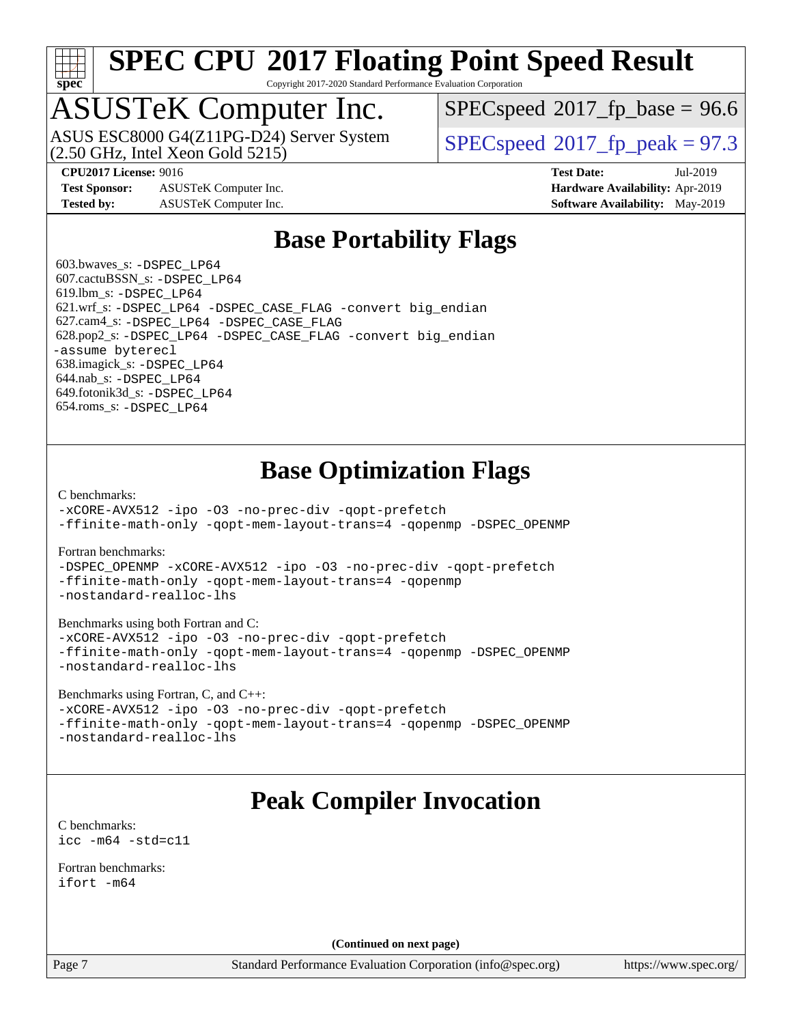

Copyright 2017-2020 Standard Performance Evaluation Corporation

## ASUSTeK Computer Inc.

(2.50 GHz, Intel Xeon Gold 5215) ASUS ESC8000 G4(Z11PG-D24) Server System  $SPECspeed@2017$  $SPECspeed@2017$  fp\_peak = 97.3

 $SPECspeed^{\circledcirc}2017$  $SPECspeed^{\circledcirc}2017$  fp base = 96.6

**[Test Sponsor:](http://www.spec.org/auto/cpu2017/Docs/result-fields.html#TestSponsor)** ASUSTeK Computer Inc. **[Hardware Availability:](http://www.spec.org/auto/cpu2017/Docs/result-fields.html#HardwareAvailability)** Apr-2019 **[Tested by:](http://www.spec.org/auto/cpu2017/Docs/result-fields.html#Testedby)** ASUSTeK Computer Inc. **[Software Availability:](http://www.spec.org/auto/cpu2017/Docs/result-fields.html#SoftwareAvailability)** May-2019

**[CPU2017 License:](http://www.spec.org/auto/cpu2017/Docs/result-fields.html#CPU2017License)** 9016 **[Test Date:](http://www.spec.org/auto/cpu2017/Docs/result-fields.html#TestDate)** Jul-2019

#### **[Base Portability Flags](http://www.spec.org/auto/cpu2017/Docs/result-fields.html#BasePortabilityFlags)**

 603.bwaves\_s: [-DSPEC\\_LP64](http://www.spec.org/cpu2017/results/res2019q3/cpu2017-20190722-16309.flags.html#suite_basePORTABILITY603_bwaves_s_DSPEC_LP64) 607.cactuBSSN\_s: [-DSPEC\\_LP64](http://www.spec.org/cpu2017/results/res2019q3/cpu2017-20190722-16309.flags.html#suite_basePORTABILITY607_cactuBSSN_s_DSPEC_LP64) 619.lbm\_s: [-DSPEC\\_LP64](http://www.spec.org/cpu2017/results/res2019q3/cpu2017-20190722-16309.flags.html#suite_basePORTABILITY619_lbm_s_DSPEC_LP64) 621.wrf\_s: [-DSPEC\\_LP64](http://www.spec.org/cpu2017/results/res2019q3/cpu2017-20190722-16309.flags.html#suite_basePORTABILITY621_wrf_s_DSPEC_LP64) [-DSPEC\\_CASE\\_FLAG](http://www.spec.org/cpu2017/results/res2019q3/cpu2017-20190722-16309.flags.html#b621.wrf_s_baseCPORTABILITY_DSPEC_CASE_FLAG) [-convert big\\_endian](http://www.spec.org/cpu2017/results/res2019q3/cpu2017-20190722-16309.flags.html#user_baseFPORTABILITY621_wrf_s_convert_big_endian_c3194028bc08c63ac5d04de18c48ce6d347e4e562e8892b8bdbdc0214820426deb8554edfa529a3fb25a586e65a3d812c835984020483e7e73212c4d31a38223) 627.cam4\_s: [-DSPEC\\_LP64](http://www.spec.org/cpu2017/results/res2019q3/cpu2017-20190722-16309.flags.html#suite_basePORTABILITY627_cam4_s_DSPEC_LP64) [-DSPEC\\_CASE\\_FLAG](http://www.spec.org/cpu2017/results/res2019q3/cpu2017-20190722-16309.flags.html#b627.cam4_s_baseCPORTABILITY_DSPEC_CASE_FLAG) 628.pop2\_s: [-DSPEC\\_LP64](http://www.spec.org/cpu2017/results/res2019q3/cpu2017-20190722-16309.flags.html#suite_basePORTABILITY628_pop2_s_DSPEC_LP64) [-DSPEC\\_CASE\\_FLAG](http://www.spec.org/cpu2017/results/res2019q3/cpu2017-20190722-16309.flags.html#b628.pop2_s_baseCPORTABILITY_DSPEC_CASE_FLAG) [-convert big\\_endian](http://www.spec.org/cpu2017/results/res2019q3/cpu2017-20190722-16309.flags.html#user_baseFPORTABILITY628_pop2_s_convert_big_endian_c3194028bc08c63ac5d04de18c48ce6d347e4e562e8892b8bdbdc0214820426deb8554edfa529a3fb25a586e65a3d812c835984020483e7e73212c4d31a38223) [-assume byterecl](http://www.spec.org/cpu2017/results/res2019q3/cpu2017-20190722-16309.flags.html#user_baseFPORTABILITY628_pop2_s_assume_byterecl_7e47d18b9513cf18525430bbf0f2177aa9bf368bc7a059c09b2c06a34b53bd3447c950d3f8d6c70e3faf3a05c8557d66a5798b567902e8849adc142926523472) 638.imagick\_s: [-DSPEC\\_LP64](http://www.spec.org/cpu2017/results/res2019q3/cpu2017-20190722-16309.flags.html#suite_basePORTABILITY638_imagick_s_DSPEC_LP64) 644.nab\_s: [-DSPEC\\_LP64](http://www.spec.org/cpu2017/results/res2019q3/cpu2017-20190722-16309.flags.html#suite_basePORTABILITY644_nab_s_DSPEC_LP64) 649.fotonik3d\_s: [-DSPEC\\_LP64](http://www.spec.org/cpu2017/results/res2019q3/cpu2017-20190722-16309.flags.html#suite_basePORTABILITY649_fotonik3d_s_DSPEC_LP64) 654.roms\_s: [-DSPEC\\_LP64](http://www.spec.org/cpu2017/results/res2019q3/cpu2017-20190722-16309.flags.html#suite_basePORTABILITY654_roms_s_DSPEC_LP64)

#### **[Base Optimization Flags](http://www.spec.org/auto/cpu2017/Docs/result-fields.html#BaseOptimizationFlags)**

[C benchmarks](http://www.spec.org/auto/cpu2017/Docs/result-fields.html#Cbenchmarks):

[-xCORE-AVX512](http://www.spec.org/cpu2017/results/res2019q3/cpu2017-20190722-16309.flags.html#user_CCbase_f-xCORE-AVX512) [-ipo](http://www.spec.org/cpu2017/results/res2019q3/cpu2017-20190722-16309.flags.html#user_CCbase_f-ipo) [-O3](http://www.spec.org/cpu2017/results/res2019q3/cpu2017-20190722-16309.flags.html#user_CCbase_f-O3) [-no-prec-div](http://www.spec.org/cpu2017/results/res2019q3/cpu2017-20190722-16309.flags.html#user_CCbase_f-no-prec-div) [-qopt-prefetch](http://www.spec.org/cpu2017/results/res2019q3/cpu2017-20190722-16309.flags.html#user_CCbase_f-qopt-prefetch) [-ffinite-math-only](http://www.spec.org/cpu2017/results/res2019q3/cpu2017-20190722-16309.flags.html#user_CCbase_f_finite_math_only_cb91587bd2077682c4b38af759c288ed7c732db004271a9512da14a4f8007909a5f1427ecbf1a0fb78ff2a814402c6114ac565ca162485bbcae155b5e4258871) [-qopt-mem-layout-trans=4](http://www.spec.org/cpu2017/results/res2019q3/cpu2017-20190722-16309.flags.html#user_CCbase_f-qopt-mem-layout-trans_fa39e755916c150a61361b7846f310bcdf6f04e385ef281cadf3647acec3f0ae266d1a1d22d972a7087a248fd4e6ca390a3634700869573d231a252c784941a8) [-qopenmp](http://www.spec.org/cpu2017/results/res2019q3/cpu2017-20190722-16309.flags.html#user_CCbase_qopenmp_16be0c44f24f464004c6784a7acb94aca937f053568ce72f94b139a11c7c168634a55f6653758ddd83bcf7b8463e8028bb0b48b77bcddc6b78d5d95bb1df2967) [-DSPEC\\_OPENMP](http://www.spec.org/cpu2017/results/res2019q3/cpu2017-20190722-16309.flags.html#suite_CCbase_DSPEC_OPENMP)

[Fortran benchmarks](http://www.spec.org/auto/cpu2017/Docs/result-fields.html#Fortranbenchmarks):

[-DSPEC\\_OPENMP](http://www.spec.org/cpu2017/results/res2019q3/cpu2017-20190722-16309.flags.html#suite_FCbase_DSPEC_OPENMP) [-xCORE-AVX512](http://www.spec.org/cpu2017/results/res2019q3/cpu2017-20190722-16309.flags.html#user_FCbase_f-xCORE-AVX512) [-ipo](http://www.spec.org/cpu2017/results/res2019q3/cpu2017-20190722-16309.flags.html#user_FCbase_f-ipo) [-O3](http://www.spec.org/cpu2017/results/res2019q3/cpu2017-20190722-16309.flags.html#user_FCbase_f-O3) [-no-prec-div](http://www.spec.org/cpu2017/results/res2019q3/cpu2017-20190722-16309.flags.html#user_FCbase_f-no-prec-div) [-qopt-prefetch](http://www.spec.org/cpu2017/results/res2019q3/cpu2017-20190722-16309.flags.html#user_FCbase_f-qopt-prefetch) [-ffinite-math-only](http://www.spec.org/cpu2017/results/res2019q3/cpu2017-20190722-16309.flags.html#user_FCbase_f_finite_math_only_cb91587bd2077682c4b38af759c288ed7c732db004271a9512da14a4f8007909a5f1427ecbf1a0fb78ff2a814402c6114ac565ca162485bbcae155b5e4258871) [-qopt-mem-layout-trans=4](http://www.spec.org/cpu2017/results/res2019q3/cpu2017-20190722-16309.flags.html#user_FCbase_f-qopt-mem-layout-trans_fa39e755916c150a61361b7846f310bcdf6f04e385ef281cadf3647acec3f0ae266d1a1d22d972a7087a248fd4e6ca390a3634700869573d231a252c784941a8) [-qopenmp](http://www.spec.org/cpu2017/results/res2019q3/cpu2017-20190722-16309.flags.html#user_FCbase_qopenmp_16be0c44f24f464004c6784a7acb94aca937f053568ce72f94b139a11c7c168634a55f6653758ddd83bcf7b8463e8028bb0b48b77bcddc6b78d5d95bb1df2967) [-nostandard-realloc-lhs](http://www.spec.org/cpu2017/results/res2019q3/cpu2017-20190722-16309.flags.html#user_FCbase_f_2003_std_realloc_82b4557e90729c0f113870c07e44d33d6f5a304b4f63d4c15d2d0f1fab99f5daaed73bdb9275d9ae411527f28b936061aa8b9c8f2d63842963b95c9dd6426b8a)

[Benchmarks using both Fortran and C](http://www.spec.org/auto/cpu2017/Docs/result-fields.html#BenchmarksusingbothFortranandC):

[-xCORE-AVX512](http://www.spec.org/cpu2017/results/res2019q3/cpu2017-20190722-16309.flags.html#user_CC_FCbase_f-xCORE-AVX512) [-ipo](http://www.spec.org/cpu2017/results/res2019q3/cpu2017-20190722-16309.flags.html#user_CC_FCbase_f-ipo) [-O3](http://www.spec.org/cpu2017/results/res2019q3/cpu2017-20190722-16309.flags.html#user_CC_FCbase_f-O3) [-no-prec-div](http://www.spec.org/cpu2017/results/res2019q3/cpu2017-20190722-16309.flags.html#user_CC_FCbase_f-no-prec-div) [-qopt-prefetch](http://www.spec.org/cpu2017/results/res2019q3/cpu2017-20190722-16309.flags.html#user_CC_FCbase_f-qopt-prefetch) [-ffinite-math-only](http://www.spec.org/cpu2017/results/res2019q3/cpu2017-20190722-16309.flags.html#user_CC_FCbase_f_finite_math_only_cb91587bd2077682c4b38af759c288ed7c732db004271a9512da14a4f8007909a5f1427ecbf1a0fb78ff2a814402c6114ac565ca162485bbcae155b5e4258871) [-qopt-mem-layout-trans=4](http://www.spec.org/cpu2017/results/res2019q3/cpu2017-20190722-16309.flags.html#user_CC_FCbase_f-qopt-mem-layout-trans_fa39e755916c150a61361b7846f310bcdf6f04e385ef281cadf3647acec3f0ae266d1a1d22d972a7087a248fd4e6ca390a3634700869573d231a252c784941a8) [-qopenmp](http://www.spec.org/cpu2017/results/res2019q3/cpu2017-20190722-16309.flags.html#user_CC_FCbase_qopenmp_16be0c44f24f464004c6784a7acb94aca937f053568ce72f94b139a11c7c168634a55f6653758ddd83bcf7b8463e8028bb0b48b77bcddc6b78d5d95bb1df2967) [-DSPEC\\_OPENMP](http://www.spec.org/cpu2017/results/res2019q3/cpu2017-20190722-16309.flags.html#suite_CC_FCbase_DSPEC_OPENMP) [-nostandard-realloc-lhs](http://www.spec.org/cpu2017/results/res2019q3/cpu2017-20190722-16309.flags.html#user_CC_FCbase_f_2003_std_realloc_82b4557e90729c0f113870c07e44d33d6f5a304b4f63d4c15d2d0f1fab99f5daaed73bdb9275d9ae411527f28b936061aa8b9c8f2d63842963b95c9dd6426b8a)

[Benchmarks using Fortran, C, and C++:](http://www.spec.org/auto/cpu2017/Docs/result-fields.html#BenchmarksusingFortranCandCXX)

[-xCORE-AVX512](http://www.spec.org/cpu2017/results/res2019q3/cpu2017-20190722-16309.flags.html#user_CC_CXX_FCbase_f-xCORE-AVX512) [-ipo](http://www.spec.org/cpu2017/results/res2019q3/cpu2017-20190722-16309.flags.html#user_CC_CXX_FCbase_f-ipo) [-O3](http://www.spec.org/cpu2017/results/res2019q3/cpu2017-20190722-16309.flags.html#user_CC_CXX_FCbase_f-O3) [-no-prec-div](http://www.spec.org/cpu2017/results/res2019q3/cpu2017-20190722-16309.flags.html#user_CC_CXX_FCbase_f-no-prec-div) [-qopt-prefetch](http://www.spec.org/cpu2017/results/res2019q3/cpu2017-20190722-16309.flags.html#user_CC_CXX_FCbase_f-qopt-prefetch) [-ffinite-math-only](http://www.spec.org/cpu2017/results/res2019q3/cpu2017-20190722-16309.flags.html#user_CC_CXX_FCbase_f_finite_math_only_cb91587bd2077682c4b38af759c288ed7c732db004271a9512da14a4f8007909a5f1427ecbf1a0fb78ff2a814402c6114ac565ca162485bbcae155b5e4258871) [-qopt-mem-layout-trans=4](http://www.spec.org/cpu2017/results/res2019q3/cpu2017-20190722-16309.flags.html#user_CC_CXX_FCbase_f-qopt-mem-layout-trans_fa39e755916c150a61361b7846f310bcdf6f04e385ef281cadf3647acec3f0ae266d1a1d22d972a7087a248fd4e6ca390a3634700869573d231a252c784941a8) [-qopenmp](http://www.spec.org/cpu2017/results/res2019q3/cpu2017-20190722-16309.flags.html#user_CC_CXX_FCbase_qopenmp_16be0c44f24f464004c6784a7acb94aca937f053568ce72f94b139a11c7c168634a55f6653758ddd83bcf7b8463e8028bb0b48b77bcddc6b78d5d95bb1df2967) [-DSPEC\\_OPENMP](http://www.spec.org/cpu2017/results/res2019q3/cpu2017-20190722-16309.flags.html#suite_CC_CXX_FCbase_DSPEC_OPENMP) [-nostandard-realloc-lhs](http://www.spec.org/cpu2017/results/res2019q3/cpu2017-20190722-16309.flags.html#user_CC_CXX_FCbase_f_2003_std_realloc_82b4557e90729c0f113870c07e44d33d6f5a304b4f63d4c15d2d0f1fab99f5daaed73bdb9275d9ae411527f28b936061aa8b9c8f2d63842963b95c9dd6426b8a)

#### **[Peak Compiler Invocation](http://www.spec.org/auto/cpu2017/Docs/result-fields.html#PeakCompilerInvocation)**

[C benchmarks](http://www.spec.org/auto/cpu2017/Docs/result-fields.html#Cbenchmarks): [icc -m64 -std=c11](http://www.spec.org/cpu2017/results/res2019q3/cpu2017-20190722-16309.flags.html#user_CCpeak_intel_icc_64bit_c11_33ee0cdaae7deeeab2a9725423ba97205ce30f63b9926c2519791662299b76a0318f32ddfffdc46587804de3178b4f9328c46fa7c2b0cd779d7a61945c91cd35)

[Fortran benchmarks](http://www.spec.org/auto/cpu2017/Docs/result-fields.html#Fortranbenchmarks): [ifort -m64](http://www.spec.org/cpu2017/results/res2019q3/cpu2017-20190722-16309.flags.html#user_FCpeak_intel_ifort_64bit_24f2bb282fbaeffd6157abe4f878425411749daecae9a33200eee2bee2fe76f3b89351d69a8130dd5949958ce389cf37ff59a95e7a40d588e8d3a57e0c3fd751)

**(Continued on next page)**

Page 7 Standard Performance Evaluation Corporation [\(info@spec.org\)](mailto:info@spec.org) <https://www.spec.org/>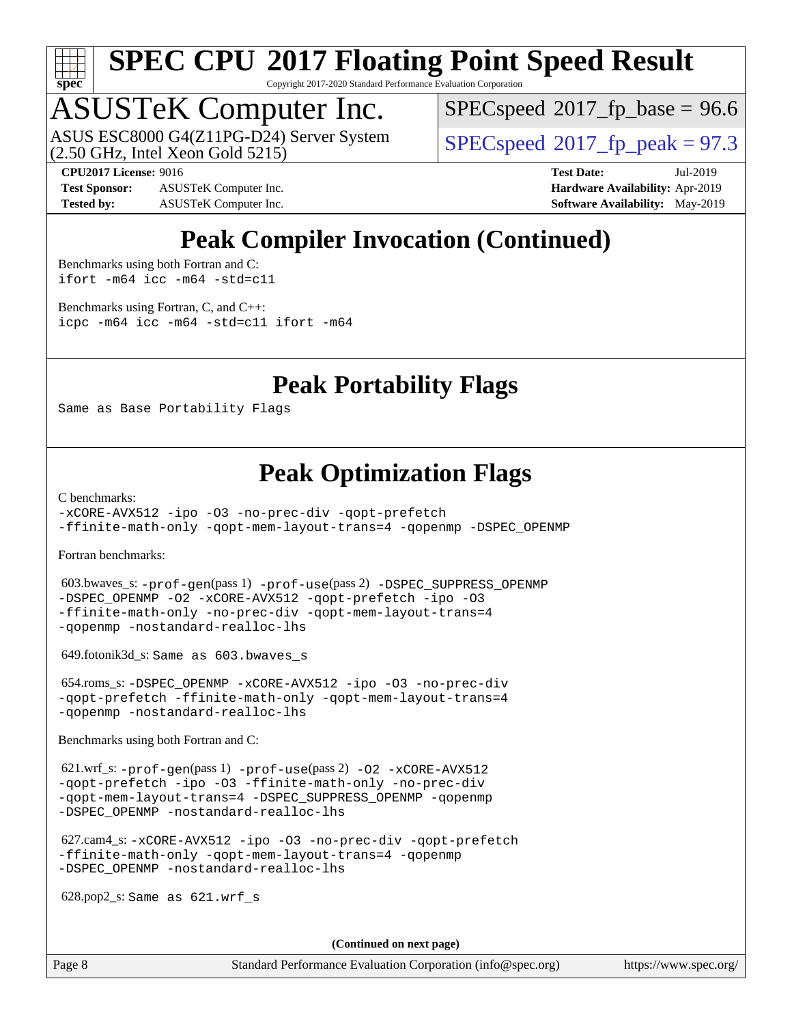

Copyright 2017-2020 Standard Performance Evaluation Corporation

## ASUSTeK Computer Inc.

(2.50 GHz, Intel Xeon Gold 5215) ASUS ESC8000 G4(Z11PG-D24) Server System  $SPECspeed@2017$  $SPECspeed@2017$  fp\_peak = 97.3

 $SPECspeed^{\circ}2017$  $SPECspeed^{\circ}2017$  fp base = 96.6

**[Test Sponsor:](http://www.spec.org/auto/cpu2017/Docs/result-fields.html#TestSponsor)** ASUSTeK Computer Inc. **[Hardware Availability:](http://www.spec.org/auto/cpu2017/Docs/result-fields.html#HardwareAvailability)** Apr-2019 **[Tested by:](http://www.spec.org/auto/cpu2017/Docs/result-fields.html#Testedby)** ASUSTeK Computer Inc. **[Software Availability:](http://www.spec.org/auto/cpu2017/Docs/result-fields.html#SoftwareAvailability)** May-2019

**[CPU2017 License:](http://www.spec.org/auto/cpu2017/Docs/result-fields.html#CPU2017License)** 9016 **[Test Date:](http://www.spec.org/auto/cpu2017/Docs/result-fields.html#TestDate)** Jul-2019

### **[Peak Compiler Invocation \(Continued\)](http://www.spec.org/auto/cpu2017/Docs/result-fields.html#PeakCompilerInvocation)**

[Benchmarks using both Fortran and C](http://www.spec.org/auto/cpu2017/Docs/result-fields.html#BenchmarksusingbothFortranandC): [ifort -m64](http://www.spec.org/cpu2017/results/res2019q3/cpu2017-20190722-16309.flags.html#user_CC_FCpeak_intel_ifort_64bit_24f2bb282fbaeffd6157abe4f878425411749daecae9a33200eee2bee2fe76f3b89351d69a8130dd5949958ce389cf37ff59a95e7a40d588e8d3a57e0c3fd751) [icc -m64 -std=c11](http://www.spec.org/cpu2017/results/res2019q3/cpu2017-20190722-16309.flags.html#user_CC_FCpeak_intel_icc_64bit_c11_33ee0cdaae7deeeab2a9725423ba97205ce30f63b9926c2519791662299b76a0318f32ddfffdc46587804de3178b4f9328c46fa7c2b0cd779d7a61945c91cd35)

[Benchmarks using Fortran, C, and C++:](http://www.spec.org/auto/cpu2017/Docs/result-fields.html#BenchmarksusingFortranCandCXX) [icpc -m64](http://www.spec.org/cpu2017/results/res2019q3/cpu2017-20190722-16309.flags.html#user_CC_CXX_FCpeak_intel_icpc_64bit_4ecb2543ae3f1412ef961e0650ca070fec7b7afdcd6ed48761b84423119d1bf6bdf5cad15b44d48e7256388bc77273b966e5eb805aefd121eb22e9299b2ec9d9) [icc -m64 -std=c11](http://www.spec.org/cpu2017/results/res2019q3/cpu2017-20190722-16309.flags.html#user_CC_CXX_FCpeak_intel_icc_64bit_c11_33ee0cdaae7deeeab2a9725423ba97205ce30f63b9926c2519791662299b76a0318f32ddfffdc46587804de3178b4f9328c46fa7c2b0cd779d7a61945c91cd35) [ifort -m64](http://www.spec.org/cpu2017/results/res2019q3/cpu2017-20190722-16309.flags.html#user_CC_CXX_FCpeak_intel_ifort_64bit_24f2bb282fbaeffd6157abe4f878425411749daecae9a33200eee2bee2fe76f3b89351d69a8130dd5949958ce389cf37ff59a95e7a40d588e8d3a57e0c3fd751)

**[Peak Portability Flags](http://www.spec.org/auto/cpu2017/Docs/result-fields.html#PeakPortabilityFlags)**

Same as Base Portability Flags

#### **[Peak Optimization Flags](http://www.spec.org/auto/cpu2017/Docs/result-fields.html#PeakOptimizationFlags)**

[C benchmarks](http://www.spec.org/auto/cpu2017/Docs/result-fields.html#Cbenchmarks):

[-xCORE-AVX512](http://www.spec.org/cpu2017/results/res2019q3/cpu2017-20190722-16309.flags.html#user_CCpeak_f-xCORE-AVX512) [-ipo](http://www.spec.org/cpu2017/results/res2019q3/cpu2017-20190722-16309.flags.html#user_CCpeak_f-ipo) [-O3](http://www.spec.org/cpu2017/results/res2019q3/cpu2017-20190722-16309.flags.html#user_CCpeak_f-O3) [-no-prec-div](http://www.spec.org/cpu2017/results/res2019q3/cpu2017-20190722-16309.flags.html#user_CCpeak_f-no-prec-div) [-qopt-prefetch](http://www.spec.org/cpu2017/results/res2019q3/cpu2017-20190722-16309.flags.html#user_CCpeak_f-qopt-prefetch) [-ffinite-math-only](http://www.spec.org/cpu2017/results/res2019q3/cpu2017-20190722-16309.flags.html#user_CCpeak_f_finite_math_only_cb91587bd2077682c4b38af759c288ed7c732db004271a9512da14a4f8007909a5f1427ecbf1a0fb78ff2a814402c6114ac565ca162485bbcae155b5e4258871) [-qopt-mem-layout-trans=4](http://www.spec.org/cpu2017/results/res2019q3/cpu2017-20190722-16309.flags.html#user_CCpeak_f-qopt-mem-layout-trans_fa39e755916c150a61361b7846f310bcdf6f04e385ef281cadf3647acec3f0ae266d1a1d22d972a7087a248fd4e6ca390a3634700869573d231a252c784941a8) [-qopenmp](http://www.spec.org/cpu2017/results/res2019q3/cpu2017-20190722-16309.flags.html#user_CCpeak_qopenmp_16be0c44f24f464004c6784a7acb94aca937f053568ce72f94b139a11c7c168634a55f6653758ddd83bcf7b8463e8028bb0b48b77bcddc6b78d5d95bb1df2967) [-DSPEC\\_OPENMP](http://www.spec.org/cpu2017/results/res2019q3/cpu2017-20190722-16309.flags.html#suite_CCpeak_DSPEC_OPENMP)

[Fortran benchmarks](http://www.spec.org/auto/cpu2017/Docs/result-fields.html#Fortranbenchmarks):

 603.bwaves\_s: [-prof-gen](http://www.spec.org/cpu2017/results/res2019q3/cpu2017-20190722-16309.flags.html#user_peakPASS1_FFLAGSPASS1_LDFLAGS603_bwaves_s_prof_gen_5aa4926d6013ddb2a31985c654b3eb18169fc0c6952a63635c234f711e6e63dd76e94ad52365559451ec499a2cdb89e4dc58ba4c67ef54ca681ffbe1461d6b36)(pass 1) [-prof-use](http://www.spec.org/cpu2017/results/res2019q3/cpu2017-20190722-16309.flags.html#user_peakPASS2_FFLAGSPASS2_LDFLAGS603_bwaves_s_prof_use_1a21ceae95f36a2b53c25747139a6c16ca95bd9def2a207b4f0849963b97e94f5260e30a0c64f4bb623698870e679ca08317ef8150905d41bd88c6f78df73f19)(pass 2) [-DSPEC\\_SUPPRESS\\_OPENMP](http://www.spec.org/cpu2017/results/res2019q3/cpu2017-20190722-16309.flags.html#suite_peakPASS1_FOPTIMIZE603_bwaves_s_DSPEC_SUPPRESS_OPENMP) [-DSPEC\\_OPENMP](http://www.spec.org/cpu2017/results/res2019q3/cpu2017-20190722-16309.flags.html#suite_peakPASS2_FOPTIMIZE603_bwaves_s_DSPEC_OPENMP) [-O2](http://www.spec.org/cpu2017/results/res2019q3/cpu2017-20190722-16309.flags.html#user_peakPASS1_FOPTIMIZE603_bwaves_s_f-O2) [-xCORE-AVX512](http://www.spec.org/cpu2017/results/res2019q3/cpu2017-20190722-16309.flags.html#user_peakPASS2_FOPTIMIZE603_bwaves_s_f-xCORE-AVX512) [-qopt-prefetch](http://www.spec.org/cpu2017/results/res2019q3/cpu2017-20190722-16309.flags.html#user_peakPASS1_FOPTIMIZEPASS2_FOPTIMIZE603_bwaves_s_f-qopt-prefetch) [-ipo](http://www.spec.org/cpu2017/results/res2019q3/cpu2017-20190722-16309.flags.html#user_peakPASS2_FOPTIMIZE603_bwaves_s_f-ipo) [-O3](http://www.spec.org/cpu2017/results/res2019q3/cpu2017-20190722-16309.flags.html#user_peakPASS2_FOPTIMIZE603_bwaves_s_f-O3) [-ffinite-math-only](http://www.spec.org/cpu2017/results/res2019q3/cpu2017-20190722-16309.flags.html#user_peakPASS1_FOPTIMIZEPASS2_FOPTIMIZE603_bwaves_s_f_finite_math_only_cb91587bd2077682c4b38af759c288ed7c732db004271a9512da14a4f8007909a5f1427ecbf1a0fb78ff2a814402c6114ac565ca162485bbcae155b5e4258871) [-no-prec-div](http://www.spec.org/cpu2017/results/res2019q3/cpu2017-20190722-16309.flags.html#user_peakPASS2_FOPTIMIZE603_bwaves_s_f-no-prec-div) [-qopt-mem-layout-trans=4](http://www.spec.org/cpu2017/results/res2019q3/cpu2017-20190722-16309.flags.html#user_peakPASS1_FOPTIMIZEPASS2_FOPTIMIZE603_bwaves_s_f-qopt-mem-layout-trans_fa39e755916c150a61361b7846f310bcdf6f04e385ef281cadf3647acec3f0ae266d1a1d22d972a7087a248fd4e6ca390a3634700869573d231a252c784941a8) [-qopenmp](http://www.spec.org/cpu2017/results/res2019q3/cpu2017-20190722-16309.flags.html#user_peakPASS2_FOPTIMIZE603_bwaves_s_qopenmp_16be0c44f24f464004c6784a7acb94aca937f053568ce72f94b139a11c7c168634a55f6653758ddd83bcf7b8463e8028bb0b48b77bcddc6b78d5d95bb1df2967) [-nostandard-realloc-lhs](http://www.spec.org/cpu2017/results/res2019q3/cpu2017-20190722-16309.flags.html#user_peakEXTRA_FOPTIMIZE603_bwaves_s_f_2003_std_realloc_82b4557e90729c0f113870c07e44d33d6f5a304b4f63d4c15d2d0f1fab99f5daaed73bdb9275d9ae411527f28b936061aa8b9c8f2d63842963b95c9dd6426b8a)

649.fotonik3d\_s: Same as 603.bwaves\_s

 654.roms\_s: [-DSPEC\\_OPENMP](http://www.spec.org/cpu2017/results/res2019q3/cpu2017-20190722-16309.flags.html#suite_peakFOPTIMIZE654_roms_s_DSPEC_OPENMP) [-xCORE-AVX512](http://www.spec.org/cpu2017/results/res2019q3/cpu2017-20190722-16309.flags.html#user_peakFOPTIMIZE654_roms_s_f-xCORE-AVX512) [-ipo](http://www.spec.org/cpu2017/results/res2019q3/cpu2017-20190722-16309.flags.html#user_peakFOPTIMIZE654_roms_s_f-ipo) [-O3](http://www.spec.org/cpu2017/results/res2019q3/cpu2017-20190722-16309.flags.html#user_peakFOPTIMIZE654_roms_s_f-O3) [-no-prec-div](http://www.spec.org/cpu2017/results/res2019q3/cpu2017-20190722-16309.flags.html#user_peakFOPTIMIZE654_roms_s_f-no-prec-div) [-qopt-prefetch](http://www.spec.org/cpu2017/results/res2019q3/cpu2017-20190722-16309.flags.html#user_peakFOPTIMIZE654_roms_s_f-qopt-prefetch) [-ffinite-math-only](http://www.spec.org/cpu2017/results/res2019q3/cpu2017-20190722-16309.flags.html#user_peakFOPTIMIZE654_roms_s_f_finite_math_only_cb91587bd2077682c4b38af759c288ed7c732db004271a9512da14a4f8007909a5f1427ecbf1a0fb78ff2a814402c6114ac565ca162485bbcae155b5e4258871) [-qopt-mem-layout-trans=4](http://www.spec.org/cpu2017/results/res2019q3/cpu2017-20190722-16309.flags.html#user_peakFOPTIMIZE654_roms_s_f-qopt-mem-layout-trans_fa39e755916c150a61361b7846f310bcdf6f04e385ef281cadf3647acec3f0ae266d1a1d22d972a7087a248fd4e6ca390a3634700869573d231a252c784941a8) [-qopenmp](http://www.spec.org/cpu2017/results/res2019q3/cpu2017-20190722-16309.flags.html#user_peakFOPTIMIZE654_roms_s_qopenmp_16be0c44f24f464004c6784a7acb94aca937f053568ce72f94b139a11c7c168634a55f6653758ddd83bcf7b8463e8028bb0b48b77bcddc6b78d5d95bb1df2967) [-nostandard-realloc-lhs](http://www.spec.org/cpu2017/results/res2019q3/cpu2017-20190722-16309.flags.html#user_peakEXTRA_FOPTIMIZE654_roms_s_f_2003_std_realloc_82b4557e90729c0f113870c07e44d33d6f5a304b4f63d4c15d2d0f1fab99f5daaed73bdb9275d9ae411527f28b936061aa8b9c8f2d63842963b95c9dd6426b8a)

[Benchmarks using both Fortran and C](http://www.spec.org/auto/cpu2017/Docs/result-fields.html#BenchmarksusingbothFortranandC):

 621.wrf\_s: [-prof-gen](http://www.spec.org/cpu2017/results/res2019q3/cpu2017-20190722-16309.flags.html#user_peakPASS1_CFLAGSPASS1_FFLAGSPASS1_LDFLAGS621_wrf_s_prof_gen_5aa4926d6013ddb2a31985c654b3eb18169fc0c6952a63635c234f711e6e63dd76e94ad52365559451ec499a2cdb89e4dc58ba4c67ef54ca681ffbe1461d6b36)(pass 1) [-prof-use](http://www.spec.org/cpu2017/results/res2019q3/cpu2017-20190722-16309.flags.html#user_peakPASS2_CFLAGSPASS2_FFLAGSPASS2_LDFLAGS621_wrf_s_prof_use_1a21ceae95f36a2b53c25747139a6c16ca95bd9def2a207b4f0849963b97e94f5260e30a0c64f4bb623698870e679ca08317ef8150905d41bd88c6f78df73f19)(pass 2) [-O2](http://www.spec.org/cpu2017/results/res2019q3/cpu2017-20190722-16309.flags.html#user_peakPASS1_COPTIMIZEPASS1_FOPTIMIZE621_wrf_s_f-O2) [-xCORE-AVX512](http://www.spec.org/cpu2017/results/res2019q3/cpu2017-20190722-16309.flags.html#user_peakPASS2_COPTIMIZEPASS2_FOPTIMIZE621_wrf_s_f-xCORE-AVX512) [-qopt-prefetch](http://www.spec.org/cpu2017/results/res2019q3/cpu2017-20190722-16309.flags.html#user_peakPASS1_COPTIMIZEPASS1_FOPTIMIZEPASS2_COPTIMIZEPASS2_FOPTIMIZE621_wrf_s_f-qopt-prefetch) [-ipo](http://www.spec.org/cpu2017/results/res2019q3/cpu2017-20190722-16309.flags.html#user_peakPASS2_COPTIMIZEPASS2_FOPTIMIZE621_wrf_s_f-ipo) [-O3](http://www.spec.org/cpu2017/results/res2019q3/cpu2017-20190722-16309.flags.html#user_peakPASS2_COPTIMIZEPASS2_FOPTIMIZE621_wrf_s_f-O3) [-ffinite-math-only](http://www.spec.org/cpu2017/results/res2019q3/cpu2017-20190722-16309.flags.html#user_peakPASS1_COPTIMIZEPASS1_FOPTIMIZEPASS2_COPTIMIZEPASS2_FOPTIMIZE621_wrf_s_f_finite_math_only_cb91587bd2077682c4b38af759c288ed7c732db004271a9512da14a4f8007909a5f1427ecbf1a0fb78ff2a814402c6114ac565ca162485bbcae155b5e4258871) [-no-prec-div](http://www.spec.org/cpu2017/results/res2019q3/cpu2017-20190722-16309.flags.html#user_peakPASS2_COPTIMIZEPASS2_FOPTIMIZE621_wrf_s_f-no-prec-div) [-qopt-mem-layout-trans=4](http://www.spec.org/cpu2017/results/res2019q3/cpu2017-20190722-16309.flags.html#user_peakPASS1_COPTIMIZEPASS1_FOPTIMIZEPASS2_COPTIMIZEPASS2_FOPTIMIZE621_wrf_s_f-qopt-mem-layout-trans_fa39e755916c150a61361b7846f310bcdf6f04e385ef281cadf3647acec3f0ae266d1a1d22d972a7087a248fd4e6ca390a3634700869573d231a252c784941a8) [-DSPEC\\_SUPPRESS\\_OPENMP](http://www.spec.org/cpu2017/results/res2019q3/cpu2017-20190722-16309.flags.html#suite_peakPASS1_COPTIMIZEPASS1_FOPTIMIZE621_wrf_s_DSPEC_SUPPRESS_OPENMP) [-qopenmp](http://www.spec.org/cpu2017/results/res2019q3/cpu2017-20190722-16309.flags.html#user_peakPASS2_COPTIMIZEPASS2_FOPTIMIZE621_wrf_s_qopenmp_16be0c44f24f464004c6784a7acb94aca937f053568ce72f94b139a11c7c168634a55f6653758ddd83bcf7b8463e8028bb0b48b77bcddc6b78d5d95bb1df2967) [-DSPEC\\_OPENMP](http://www.spec.org/cpu2017/results/res2019q3/cpu2017-20190722-16309.flags.html#suite_peakPASS2_COPTIMIZEPASS2_FOPTIMIZE621_wrf_s_DSPEC_OPENMP) [-nostandard-realloc-lhs](http://www.spec.org/cpu2017/results/res2019q3/cpu2017-20190722-16309.flags.html#user_peakEXTRA_FOPTIMIZE621_wrf_s_f_2003_std_realloc_82b4557e90729c0f113870c07e44d33d6f5a304b4f63d4c15d2d0f1fab99f5daaed73bdb9275d9ae411527f28b936061aa8b9c8f2d63842963b95c9dd6426b8a)

 627.cam4\_s: [-xCORE-AVX512](http://www.spec.org/cpu2017/results/res2019q3/cpu2017-20190722-16309.flags.html#user_peakCOPTIMIZEFOPTIMIZE627_cam4_s_f-xCORE-AVX512) [-ipo](http://www.spec.org/cpu2017/results/res2019q3/cpu2017-20190722-16309.flags.html#user_peakCOPTIMIZEFOPTIMIZE627_cam4_s_f-ipo) [-O3](http://www.spec.org/cpu2017/results/res2019q3/cpu2017-20190722-16309.flags.html#user_peakCOPTIMIZEFOPTIMIZE627_cam4_s_f-O3) [-no-prec-div](http://www.spec.org/cpu2017/results/res2019q3/cpu2017-20190722-16309.flags.html#user_peakCOPTIMIZEFOPTIMIZE627_cam4_s_f-no-prec-div) [-qopt-prefetch](http://www.spec.org/cpu2017/results/res2019q3/cpu2017-20190722-16309.flags.html#user_peakCOPTIMIZEFOPTIMIZE627_cam4_s_f-qopt-prefetch) [-ffinite-math-only](http://www.spec.org/cpu2017/results/res2019q3/cpu2017-20190722-16309.flags.html#user_peakCOPTIMIZEFOPTIMIZE627_cam4_s_f_finite_math_only_cb91587bd2077682c4b38af759c288ed7c732db004271a9512da14a4f8007909a5f1427ecbf1a0fb78ff2a814402c6114ac565ca162485bbcae155b5e4258871) [-qopt-mem-layout-trans=4](http://www.spec.org/cpu2017/results/res2019q3/cpu2017-20190722-16309.flags.html#user_peakCOPTIMIZEFOPTIMIZE627_cam4_s_f-qopt-mem-layout-trans_fa39e755916c150a61361b7846f310bcdf6f04e385ef281cadf3647acec3f0ae266d1a1d22d972a7087a248fd4e6ca390a3634700869573d231a252c784941a8) [-qopenmp](http://www.spec.org/cpu2017/results/res2019q3/cpu2017-20190722-16309.flags.html#user_peakCOPTIMIZEFOPTIMIZE627_cam4_s_qopenmp_16be0c44f24f464004c6784a7acb94aca937f053568ce72f94b139a11c7c168634a55f6653758ddd83bcf7b8463e8028bb0b48b77bcddc6b78d5d95bb1df2967) [-DSPEC\\_OPENMP](http://www.spec.org/cpu2017/results/res2019q3/cpu2017-20190722-16309.flags.html#suite_peakCOPTIMIZEFOPTIMIZE627_cam4_s_DSPEC_OPENMP) [-nostandard-realloc-lhs](http://www.spec.org/cpu2017/results/res2019q3/cpu2017-20190722-16309.flags.html#user_peakEXTRA_FOPTIMIZE627_cam4_s_f_2003_std_realloc_82b4557e90729c0f113870c07e44d33d6f5a304b4f63d4c15d2d0f1fab99f5daaed73bdb9275d9ae411527f28b936061aa8b9c8f2d63842963b95c9dd6426b8a)

628.pop2\_s: Same as 621.wrf\_s

**(Continued on next page)**